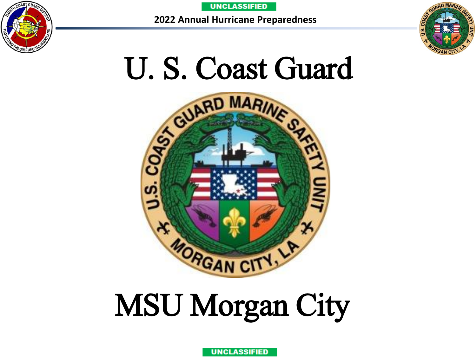





# MSU Morgan City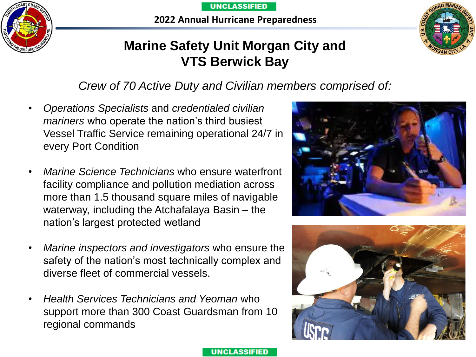**2022 Annual Hurricane Preparedness**





### **Marine Safety Unit Morgan City and VTS Berwick Bay**

### *Crew of 70 Active Duty and Civilian members comprised of:*

- *Operations Specialists* and *credentialed civilian mariners* who operate the nation's third busiest Vessel Traffic Service remaining operational 24/7 in every Port Condition
- *Marine Science Technicians* who ensure waterfront facility compliance and pollution mediation across more than 1.5 thousand square miles of navigable waterway, including the Atchafalaya Basin – the nation's largest protected wetland
- *Marine inspectors and investigators* who ensure the safety of the nation's most technically complex and diverse fleet of commercial vessels.
- *Health Services Technicians and Yeoman* who support more than 300 Coast Guardsman from 10 regional commands



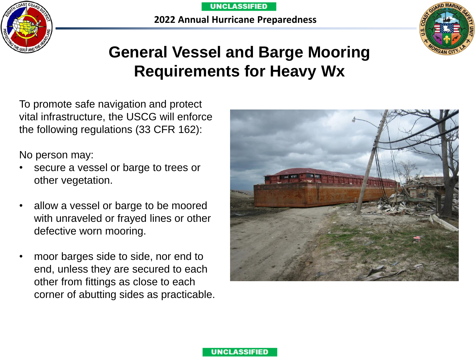





### **General Vessel and Barge Mooring Requirements for Heavy Wx**

To promote safe navigation and protect vital infrastructure, the USCG will enforce the following regulations (33 CFR 162):

No person may:

- secure a vessel or barge to trees or other vegetation.
- allow a vessel or barge to be moored with unraveled or frayed lines or other defective worn mooring.
- moor barges side to side, nor end to end, unless they are secured to each other from fittings as close to each corner of abutting sides as practicable.



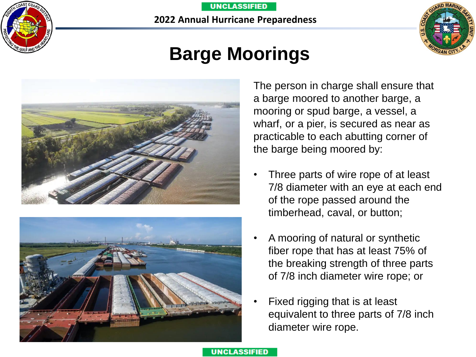

**2022 Annual Hurricane Preparedness**



### **Barge Moorings**





The person in charge shall ensure that a barge moored to another barge, a mooring or spud barge, a vessel, a wharf, or a pier, is secured as near as practicable to each abutting corner of the barge being moored by:

- Three parts of wire rope of at least 7/8 diameter with an eye at each end of the rope passed around the timberhead, caval, or button;
- A mooring of natural or synthetic fiber rope that has at least 75% of the breaking strength of three parts of 7/8 inch diameter wire rope; or
- Fixed rigging that is at least equivalent to three parts of 7/8 inch diameter wire rope.

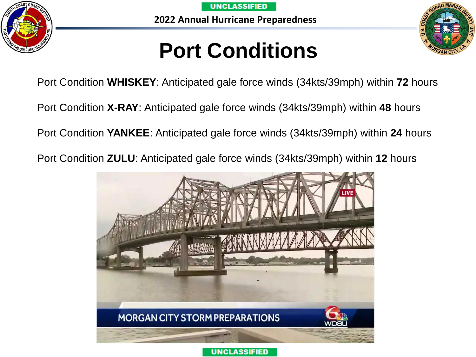





## **Port Conditions**

Port Condition **WHISKEY**: Anticipated gale force winds (34kts/39mph) within **72** hours

Port Condition **X-RAY**: Anticipated gale force winds (34kts/39mph) within **48** hours

Port Condition **YANKEE**: Anticipated gale force winds (34kts/39mph) within **24** hours

Port Condition **ZULU**: Anticipated gale force winds (34kts/39mph) within **12** hours

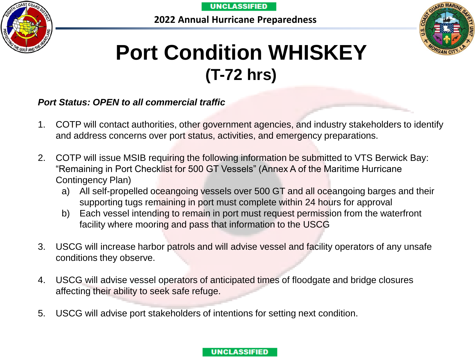**2022 Annual Hurricane Preparedness**





### **Port Condition WHISKEY (T-72 hrs)**

#### *Port Status: OPEN to all commercial traffic*

- 1. COTP will contact authorities, other government agencies, and industry stakeholders to identify and address concerns over port status, activities, and emergency preparations.
- 2. COTP will issue MSIB requiring the following information be submitted to VTS Berwick Bay: "Remaining in Port Checklist for 500 GT Vessels" (Annex A of the Maritime Hurricane Contingency Plan)
	- a) All self-propelled oceangoing vessels over 500 GT and all oceangoing barges and their supporting tugs remaining in port must complete within 24 hours for approval
	- b) Each vessel intending to remain in port must request permission from the waterfront facility where mooring and pass that information to the USCG
- 3. USCG will increase harbor patrols and will advise vessel and facility operators of any unsafe conditions they observe.
- 4. USCG will advise vessel operators of anticipated times of floodgate and bridge closures affecting their ability to seek safe refuge.
- 5. USCG will advise port stakeholders of intentions for setting next condition.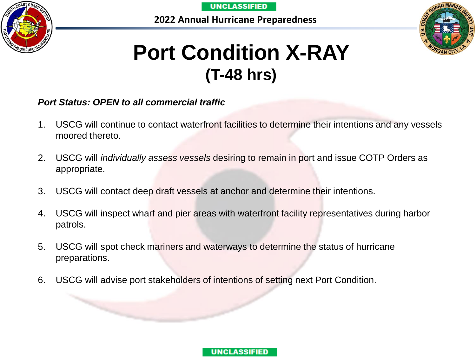

**2022 Annual Hurricane Preparedness**



### **Port Condition X-RAY (T-48 hrs)**

#### *Port Status: OPEN to all commercial traffic*

- 1. USCG will continue to contact waterfront facilities to determine their intentions and any vessels moored thereto.
- 2. USCG will *individually assess vessels* desiring to remain in port and issue COTP Orders as appropriate.
- 3. USCG will contact deep draft vessels at anchor and determine their intentions.
- 4. USCG will inspect wharf and pier areas with waterfront facility representatives during harbor patrols.
- 5. USCG will spot check mariners and waterways to determine the status of hurricane preparations.
- 6. USCG will advise port stakeholders of intentions of setting next Port Condition.

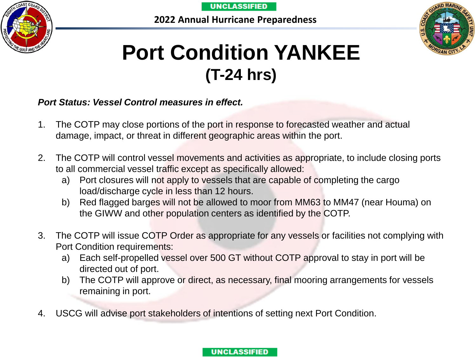**2022 Annual Hurricane Preparedness**





### **Port Condition YANKEE (T-24 hrs)**

#### *Port Status: Vessel Control measures in effect.*

- 1. The COTP may close portions of the port in response to forecasted weather and actual damage, impact, or threat in different geographic areas within the port.
- 2. The COTP will control vessel movements and activities as appropriate, to include closing ports to all commercial vessel traffic except as specifically allowed:
	- a) Port closures will not apply to vessels that are capable of completing the cargo load/discharge cycle in less than 12 hours.
	- b) Red flagged barges will not be allowed to moor from MM63 to MM47 (near Houma) on the GIWW and other population centers as identified by the COTP.
- 3. The COTP will issue COTP Order as appropriate for any vessels or facilities not complying with Port Condition requirements:
	- a) Each self-propelled vessel over 500 GT without COTP approval to stay in port will be directed out of port.
	- b) The COTP will approve or direct, as necessary, final mooring arrangements for vessels remaining in port.
- 4. USCG will advise port stakeholders of intentions of setting next Port Condition.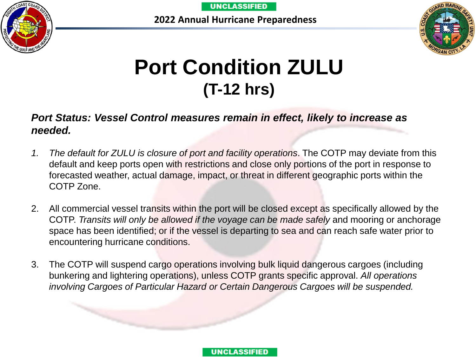**2022 Annual Hurricane Preparedness**





## **Port Condition ZULU (T-12 hrs)**

### *Port Status: Vessel Control measures remain in effect, likely to increase as needed.*

- *1. The default for ZULU is closure of port and facility operations*. The COTP may deviate from this default and keep ports open with restrictions and close only portions of the port in response to forecasted weather, actual damage, impact, or threat in different geographic ports within the COTP Zone.
- 2. All commercial vessel transits within the port will be closed except as specifically allowed by the COTP. *Transits will only be allowed if the voyage can be made safely* and mooring or anchorage space has been identified; or if the vessel is departing to sea and can reach safe water prior to encountering hurricane conditions.
- 3. The COTP will suspend cargo operations involving bulk liquid dangerous cargoes (including bunkering and lightering operations), unless COTP grants specific approval. *All operations involving Cargoes of Particular Hazard or Certain Dangerous Cargoes will be suspended.*

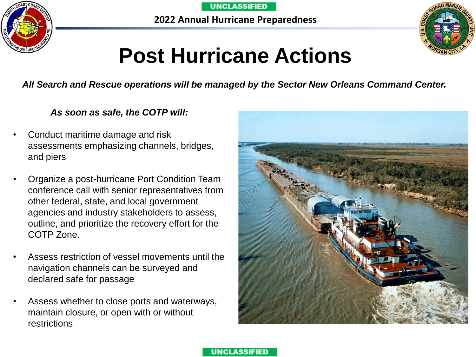



## **Post Hurricane Actions**

*All Search and Rescue operations will be managed by the Sector New Orleans Command Center.* 

#### *As soon as safe, the COTP will:*

- Conduct maritime damage and risk assessments emphasizing channels, bridges, and piers
- Organize a post-hurricane Port Condition Team conference call with senior representatives from other federal, state, and local government agencies and industry stakeholders to assess, outline, and prioritize the recovery effort for the COTP Zone.
- Assess restriction of vessel movements until the navigation channels can be surveyed and declared safe for passage
- Assess whether to close ports and waterways, maintain closure, or open with or without restrictions



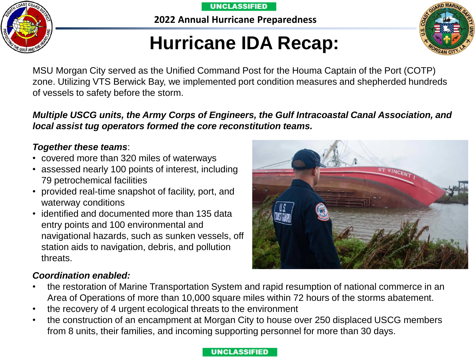**2022 Annual Hurricane Preparedness**

### **Hurricane IDA Recap:**

MSU Morgan City served as the Unified Command Post for the Houma Captain of the Port (COTP) zone. Utilizing VTS Berwick Bay, we implemented port condition measures and shepherded hundreds of vessels to safety before the storm.

*Multiple USCG units, the Army Corps of Engineers, the Gulf Intracoastal Canal Association, and local assist tug operators formed the core reconstitution teams.*

### *Together these teams*:

- covered more than 320 miles of waterways
- assessed nearly 100 points of interest, including 79 petrochemical facilities
- provided real-time snapshot of facility, port, and waterway conditions
- identified and documented more than 135 data entry points and 100 environmental and navigational hazards, such as sunken vessels, off station aids to navigation, debris, and pollution threats.

### *Coordination enabled:*

- the restoration of Marine Transportation System and rapid resumption of national commerce in an Area of Operations of more than 10,000 square miles within 72 hours of the storms abatement.
- the recovery of 4 urgent ecological threats to the environment
- the construction of an encampment at Morgan City to house over 250 displaced USCG members from 8 units, their families, and incoming supporting personnel for more than 30 days.



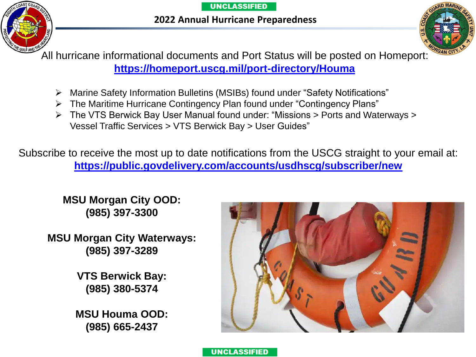**2022 Annual Hurricane Preparedness**





All hurricane informational documents and Port Status will be posted on Homeport: **<https://homeport.uscg.mil/port-directory/Houma>**

- ➢ Marine Safety Information Bulletins (MSIBs) found under "Safety Notifications"
- ➢ The Maritime Hurricane Contingency Plan found under "Contingency Plans"
- ➢ The VTS Berwick Bay User Manual found under: "Missions > Ports and Waterways > Vessel Traffic Services > VTS Berwick Bay > User Guides"

Subscribe to receive the most up to date notifications from the USCG straight to your email at: **<https://public.govdelivery.com/accounts/usdhscg/subscriber/new>**

**UNCLASSIFIED** 

**MSU Morgan City OOD: (985) 397-3300**

**MSU Morgan City Waterways: (985) 397-3289**

> **VTS Berwick Bay: (985) 380-5374**

**MSU Houma OOD: (985) 665-2437**